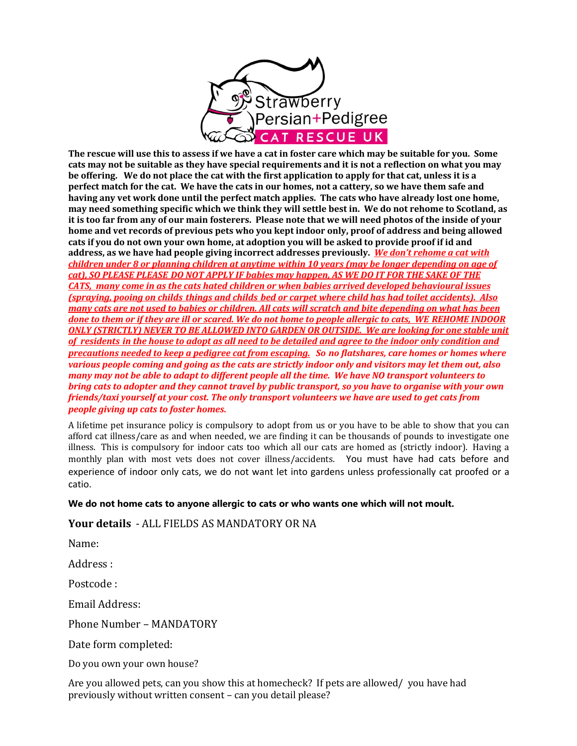

The rescue will use this to assess if we have a cat in foster care which may be suitable for you. Some cats may not be suitable as they have special requirements and it is not a reflection on what you may be offering. We do not place the cat with the first application to apply for that cat, unless it is a **perfect match for the cat.** We have the cats in our homes, not a cattery, so we have them safe and having any vet work done until the perfect match applies. The cats who have already lost one home, **may need something specific which we think they will settle best in. We do not rehome to Scotland, as**  it is too far from any of our main fosterers. Please note that we will need photos of the inside of your home and vet records of previous pets who you kept indoor only, proof of address and being allowed cats if you do not own your own home, at adoption you will be asked to provide proof if id and address, as we have had people giving incorrect addresses previously. *We don't rehome a cat with children under* 8 or planning children at anytime within 10 years (may be longer depending on age of *cat), SO PLEASE PLEASE DO NOT APPLY IF babies may happen, AS WE DO IT FOR THE SAKE OF THE CATS, many come in as the cats hated children or when babies arrived developed behavioural issues (spraying, pooing on childs things and childs bed or carpet where child has had toilet accidents). Also many cats are not used to babies or children. All cats will scratch and bite depending on what has been done to them or if they are ill or scared. We do not home to people allergic to cats, WE REHOME INDOOR ONLY (STRICTLY) NEVER TO BE ALLOWED INTO GARDEN OR OUTSIDE. We are looking for one stable unit* of residents in the house to adopt as all need to be detailed and agree to the indoor only condition and *precautions needed to keep a pedigree cat from escaping. So no flatshares, care homes or homes where* various people coming and going as the cats are strictly indoor only and visitors may let them out, also *many* may not be able to adapt to different people all the time. We have NO transport volunteers to *bring cats to adopter and they cannot travel by public transport, so you have to organise with your own friends/taxi* vourself at your cost. The only transport volunteers we have are used to get cats from *people giving up cats to foster homes.* 

A lifetime pet insurance policy is compulsory to adopt from us or you have to be able to show that you can afford cat illness/care as and when needed, we are finding it can be thousands of pounds to investigate one illness. This is compulsory for indoor cats too which all our cats are homed as (strictly indoor). Having a monthly plan with most vets does not cover illness/accidents. You must have had cats before and experience of indoor only cats, we do not want let into gardens unless professionally cat proofed or a catio.

#### **We do not home cats to anyone allergic to cats or who wants one which will not moult.**

### Your details - ALL FIELDS AS MANDATORY OR NA

Name:  

Address :

Postcode :

Email Address:

Phone Number - MANDATORY

Date form completed:

Do you own your own house?

Are you allowed pets, can you show this at homecheck? If pets are allowed/ you have had previously without written consent - can you detail please?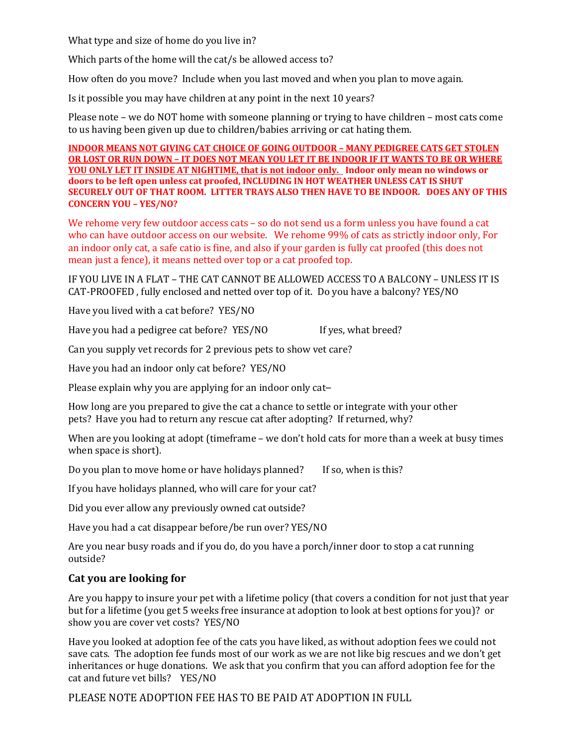What type and size of home do you live in?

Which parts of the home will the  $cat/s$  be allowed access to?

How often do you move? Include when you last moved and when you plan to move again.

Is it possible you may have children at any point in the next 10 years?

Please note – we do NOT home with someone planning or trying to have children – most cats come to us having been given up due to children/babies arriving or cat hating them.

**INDOOR MEANS NOT GIVING CAT CHOICE OF GOING OUTDOOR - MANY PEDIGREE CATS GET STOLEN OR LOST OR RUN DOWN - IT DOES NOT MEAN YOU LET IT BE INDOOR IF IT WANTS TO BE OR WHERE** <u>YOU ONLY LET IT INSIDE AT NIGHTIME, that is not indoor only. Indoor only mean no windows or</u> doors to be left open unless cat proofed, INCLUDING IN HOT WEATHER UNLESS CAT IS SHUT **SECURELY OUT OF THAT ROOM. LITTER TRAYS ALSO THEN HAVE TO BE INDOOR. DOES ANY OF THIS CONCERN YOU – YES/NO?**

We rehome very few outdoor access cats - so do not send us a form unless you have found a cat who can have outdoor access on our website. We rehome 99% of cats as strictly indoor only, For an indoor only cat, a safe catio is fine, and also if your garden is fully cat proofed (this does not mean just a fence), it means netted over top or a cat proofed top.

IF YOU LIVE IN A FLAT – THE CAT CANNOT BE ALLOWED ACCESS TO A BALCONY – UNLESS IT IS CAT-PROOFED, fully enclosed and netted over top of it. Do you have a balcony? YES/NO

Have you lived with a cat before? YES/NO

Have you had a pedigree cat before? YES/NO If yes, what breed?

Can you supply vet records for 2 previous pets to show vet care?

Have you had an indoor only cat before? YES/NO

Please explain why you are applying for an indoor only cat-

How long are you prepared to give the cat a chance to settle or integrate with your other pets? Have you had to return any rescue cat after adopting? If returned, why?

When are you looking at adopt (timeframe – we don't hold cats for more than a week at busy times when space is short).

Do you plan to move home or have holidays planned? If so, when is this?

If you have holidays planned, who will care for your cat?

Did you ever allow any previously owned cat outside?

Have you had a cat disappear before/be run over? YES/NO

Are you near busy roads and if you do, do you have a porch/inner door to stop a cat running outside?

# **Cat you are looking for**

Are you happy to insure your pet with a lifetime policy (that covers a condition for not just that year but for a lifetime (you get 5 weeks free insurance at adoption to look at best options for you)? or show you are cover vet costs? YES/NO

Have you looked at adoption fee of the cats you have liked, as without adoption fees we could not save cats. The adoption fee funds most of our work as we are not like big rescues and we don't get inheritances or huge donations. We ask that you confirm that you can afford adoption fee for the cat and future vet bills? YES/NO

PLEASE NOTE ADOPTION FEE HAS TO BE PAID AT ADOPTION IN FULL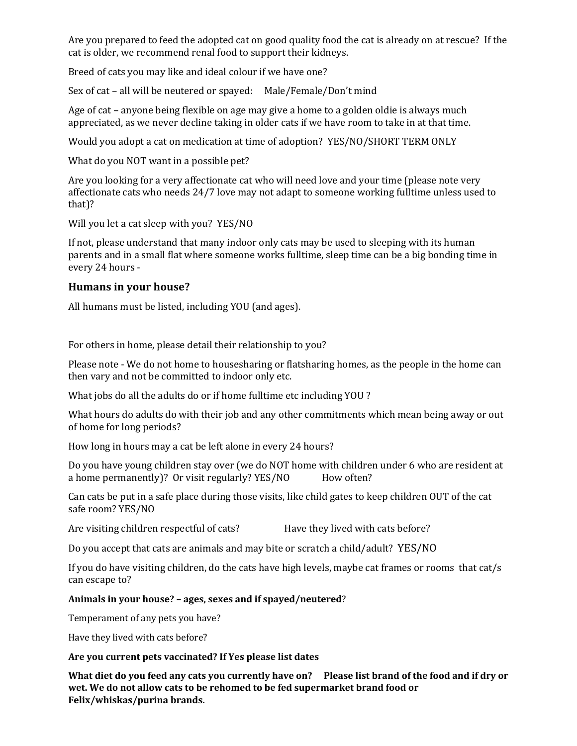Are you prepared to feed the adopted cat on good quality food the cat is already on at rescue? If the cat is older, we recommend renal food to support their kidneys.

Breed of cats you may like and ideal colour if we have one?

Sex of cat – all will be neutered or spayed: Male/Female/Don't mind

Age of cat – anyone being flexible on age may give a home to a golden oldie is always much appreciated, as we never decline taking in older cats if we have room to take in at that time.

Would you adopt a cat on medication at time of adoption? YES/NO/SHORT TERM ONLY

What do you NOT want in a possible pet?

Are you looking for a very affectionate cat who will need love and your time (please note very affectionate cats who needs  $24/7$  love may not adapt to someone working fulltime unless used to that)?

Will you let a cat sleep with you? YES/NO

If not, please understand that many indoor only cats may be used to sleeping with its human parents and in a small flat where someone works fulltime, sleep time can be a big bonding time in every 24 hours -

## **Humans in your house?**

All humans must be listed, including YOU (and ages).

For others in home, please detail their relationship to you?

Please note - We do not home to housesharing or flatsharing homes, as the people in the home can then vary and not be committed to indoor only etc.

What jobs do all the adults do or if home fulltime etc including YOU ?

What hours do adults do with their job and any other commitments which mean being away or out of home for long periods?

How long in hours may a cat be left alone in every 24 hours?

Do you have young children stay over (we do NOT home with children under 6 who are resident at a home permanently)? Or visit regularly?  $YES/NO$  How often?

Can cats be put in a safe place during those visits, like child gates to keep children OUT of the cat safe room? YES/NO

Are visiting children respectful of cats? Have they lived with cats before?

Do you accept that cats are animals and may bite or scratch a child/adult? YES/NO

If you do have visiting children, do the cats have high levels, maybe cat frames or rooms that cat/s can escape to?

#### Animals in your house? – ages, sexes and if spayed/neutered?

Temperament of any pets you have?

Have they lived with cats before?

#### Are you current pets vaccinated? If Yes please list dates

What diet do you feed any cats you currently have on? Please list brand of the food and if dry or wet. We do not allow cats to be rehomed to be fed supermarket brand food or **Felix/whiskas/purina brands.**